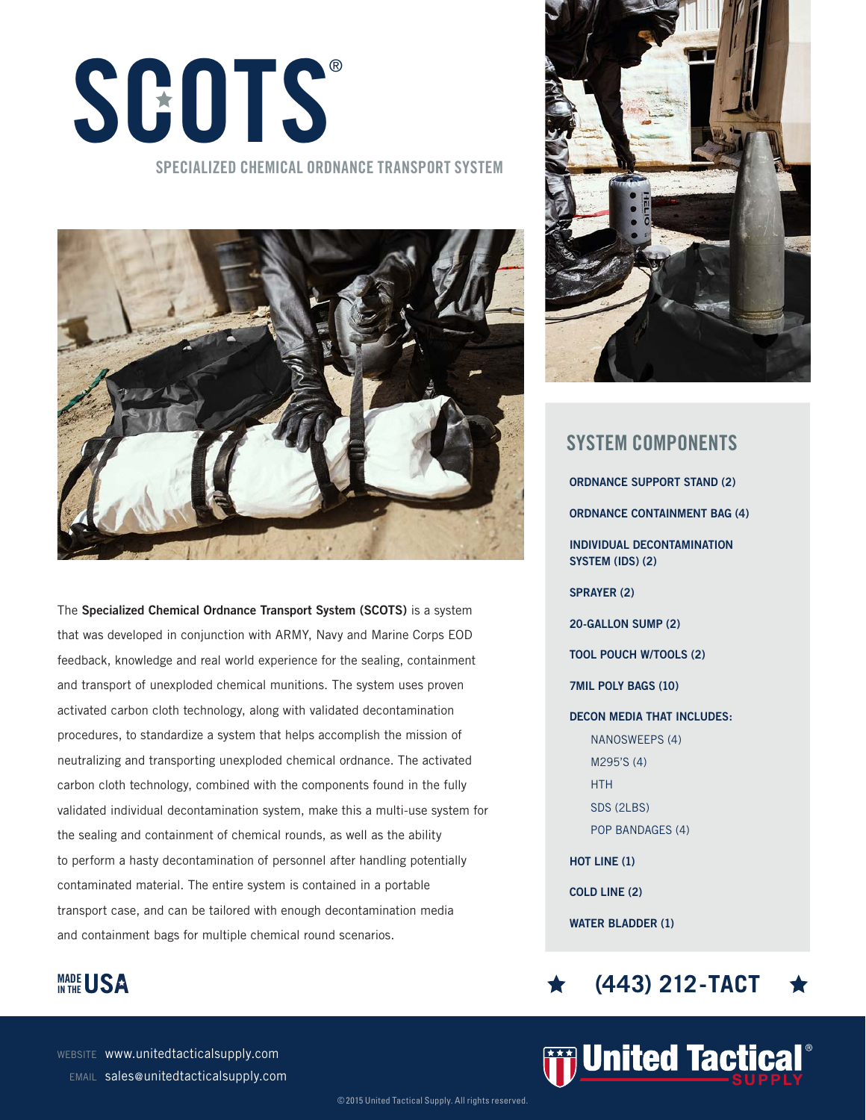## **SCOTS** ®

## **SPECIALIZED CHEMICAL ORDNANCE TRANSPORT SYSTEM**



The **Specialized Chemical Ordnance Transport System (SCOTS)** is a system that was developed in conjunction with ARMY, Navy and Marine Corps EOD feedback, knowledge and real world experience for the sealing, containment and transport of unexploded chemical munitions. The system uses proven activated carbon cloth technology, along with validated decontamination procedures, to standardize a system that helps accomplish the mission of neutralizing and transporting unexploded chemical ordnance. The activated carbon cloth technology, combined with the components found in the fully validated individual decontamination system, make this a multi-use system for the sealing and containment of chemical rounds, as well as the ability to perform a hasty decontamination of personnel after handling potentially contaminated material. The entire system is contained in a portable transport case, and can be tailored with enough decontamination media and containment bags for multiple chemical round scenarios.



WEBSITE www.unitedtacticalsupply.com EMAIL sales@unitedtacticalsupply.com



**ORDNANCE SUPPORT STAND (2) ORDNANCE CONTAINMENT BAG (4) INDIVIDUAL DECONTAMINATION SYSTEM (IDS) (2) SPRAYER (2) 20-GALLON SUMP (2) TOOL POUCH W/TOOLS (2) 7MIL POLY BAGS (10) DECON MEDIA THAT INCLUDES:** NANOSWEEPS (4) M295'S (4) HTH SDS (2LBS) POP BANDAGES (4) **HOT LINE (1) COLD LINE (2) WATER BLADDER (1) SYSTEM COMPONENTS**